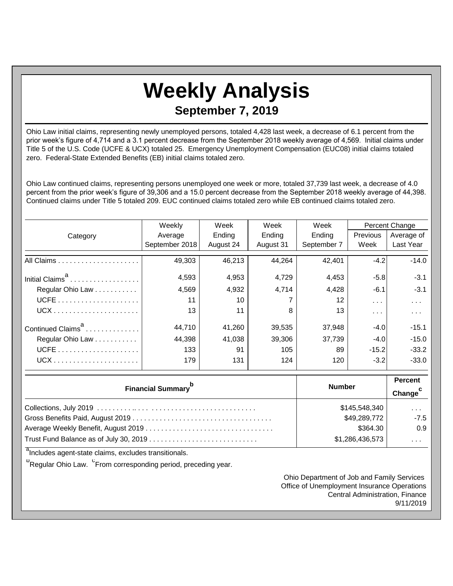## **Weekly Analysis September 7, 2019**

Ohio Law initial claims, representing newly unemployed persons, totaled 4,428 last week, a decrease of 6.1 percent from the prior week's figure of 4,714 and a 3.1 percent decrease from the September 2018 weekly average of 4,569. Initial claims under Title 5 of the U.S. Code (UCFE & UCX) totaled 25. Emergency Unemployment Compensation (EUC08) initial claims totaled zero. Federal-State Extended Benefits (EB) initial claims totaled zero.

Ohio Law continued claims, representing persons unemployed one week or more, totaled 37,739 last week, a decrease of 4.0 percent from the prior week's figure of 39,306 and a 15.0 percent decrease from the September 2018 weekly average of 44,398. Continued claims under Title 5 totaled 209. EUC continued claims totaled zero while EB continued claims totaled zero.

|                               | Weekly         | Week<br>Week |           | Week        | Percent Change       |               |
|-------------------------------|----------------|--------------|-----------|-------------|----------------------|---------------|
| Category                      | Average        | Ending       | Ending    | Ending      | Previous             | Average of    |
|                               | September 2018 | August 24    | August 31 | September 7 | Week                 | Last Year     |
|                               | 49,303         | 46,213       | 44,264    | 42,401      | $-4.2$               | $-14.0$       |
| Initial Claims <sup>d</sup>   | 4,593          | 4,953        | 4,729     | 4,453       | $-5.8$               | $-3.1$        |
| Regular Ohio Law              | 4,569          | 4,932        | 4,714     | 4,428       | $-6.1$               | $-3.1$        |
|                               | 11             | 10           |           | 12          | $\sim$ $\sim$ $\sim$ | $\sim$ $\sim$ |
|                               | 13             | 11           | 8         | 13          | $\cdots$             | $\cdots$      |
| Continued Claims <sup>a</sup> | 44,710         | 41,260       | 39,535    | 37,948      | $-4.0$               | $-15.1$       |
| Regular Ohio Law              | 44,398         | 41,038       | 39,306    | 37,739      | $-4.0$               | $-15.0$       |
|                               | 133            | 91           | 105       | 89          | $-15.2$              | $-33.2$       |
|                               | 179            | 131          | 124       | 120         | $-3.2$               | $-33.0$       |

| <b>Financial Summary</b> <sup>p</sup>  | <b>Number</b>   | <b>Percent</b><br>Change <sup>c</sup> |
|----------------------------------------|-----------------|---------------------------------------|
|                                        | \$145,548,340   | $\sim$ $\sim$ $\sim$                  |
|                                        | \$49,289,772    | $-7.5$                                |
|                                        | \$364.30        | 0.9                                   |
| Trust Fund Balance as of July 30, 2019 | \$1,286,436,573 | $\cdots$                              |

<sup>a</sup>Includes agent-state claims, excludes transitionals.

<sup>b</sup>Regular Ohio Law. <sup>C</sup>From corresponding period, preceding year.

Ohio Department of Job and Family Services Office of Unemployment Insurance Operations Central Administration, Finance 9/11/2019